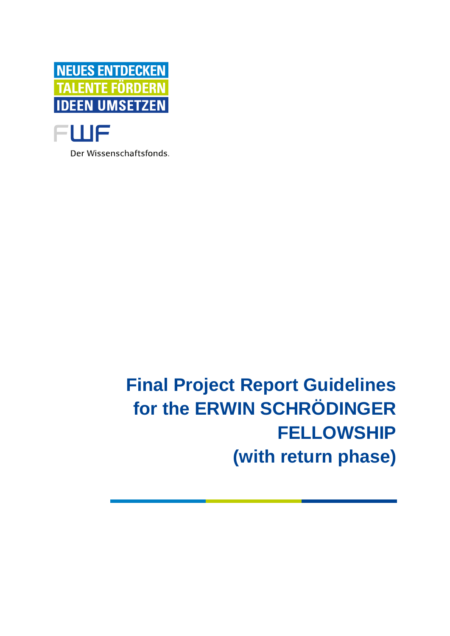

Der Wissenschaftsfonds.

# **Final Project Report Guidelines for the ERWIN SCHRÖDINGER FELLOWSHIP (with return phase)**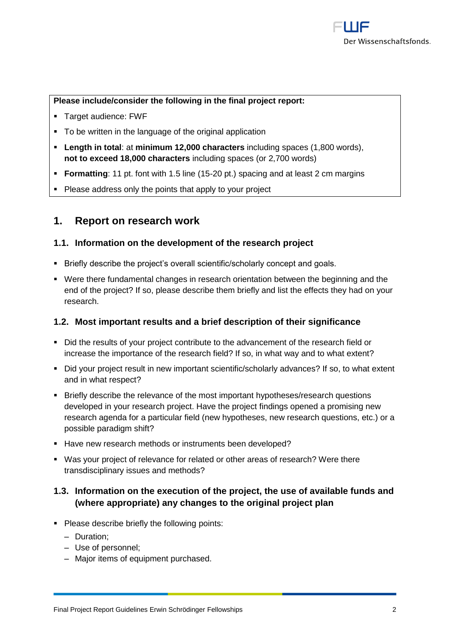#### **Please include/consider the following in the final project report:**

- Target audience: FWF
- To be written in the language of the original application
- **Length in total**: at **minimum 12,000 characters** including spaces (1,800 words), **not to exceed 18,000 characters** including spaces (or 2,700 words)
- **Formatting**: 11 pt. font with 1.5 line (15-20 pt.) spacing and at least 2 cm margins
- Please address only the points that apply to your project

## **1. Report on research work**

#### **1.1. Information on the development of the research project**

- **EXECT:** Briefly describe the project's overall scientific/scholarly concept and goals.
- Were there fundamental changes in research orientation between the beginning and the end of the project? If so, please describe them briefly and list the effects they had on your research.

#### **1.2. Most important results and a brief description of their significance**

- Did the results of your project contribute to the advancement of the research field or increase the importance of the research field? If so, in what way and to what extent?
- Did your project result in new important scientific/scholarly advances? If so, to what extent and in what respect?
- Briefly describe the relevance of the most important hypotheses/research questions developed in your research project. Have the project findings opened a promising new research agenda for a particular field (new hypotheses, new research questions, etc.) or a possible paradigm shift?
- Have new research methods or instruments been developed?
- Was your project of relevance for related or other areas of research? Were there transdisciplinary issues and methods?

### **1.3. Information on the execution of the project, the use of available funds and (where appropriate) any changes to the original project plan**

- Please describe briefly the following points:
	- ‒ Duration;
	- ‒ Use of personnel;
	- Major items of equipment purchased.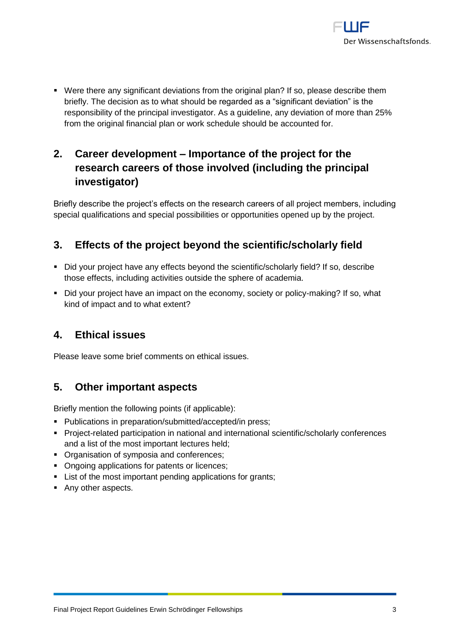

▪ Were there any significant deviations from the original plan? If so, please describe them briefly. The decision as to what should be regarded as a "significant deviation" is the responsibility of the principal investigator. As a guideline, any deviation of more than 25% from the original financial plan or work schedule should be accounted for.

# **2. Career development – Importance of the project for the research careers of those involved (including the principal investigator)**

Briefly describe the project's effects on the research careers of all project members, including special qualifications and special possibilities or opportunities opened up by the project.

## **3. Effects of the project beyond the scientific/scholarly field**

- Did your project have any effects beyond the scientific/scholarly field? If so, describe those effects, including activities outside the sphere of academia.
- Did your project have an impact on the economy, society or policy-making? If so, what kind of impact and to what extent?

# **4. Ethical issues**

Please leave some brief comments on ethical issues.

# **5. Other important aspects**

Briefly mention the following points (if applicable):

- Publications in preparation/submitted/accepted/in press;
- Project-related participation in national and international scientific/scholarly conferences and a list of the most important lectures held;
- Organisation of symposia and conferences;
- Ongoing applications for patents or licences;
- List of the most important pending applications for grants;
- Any other aspects.